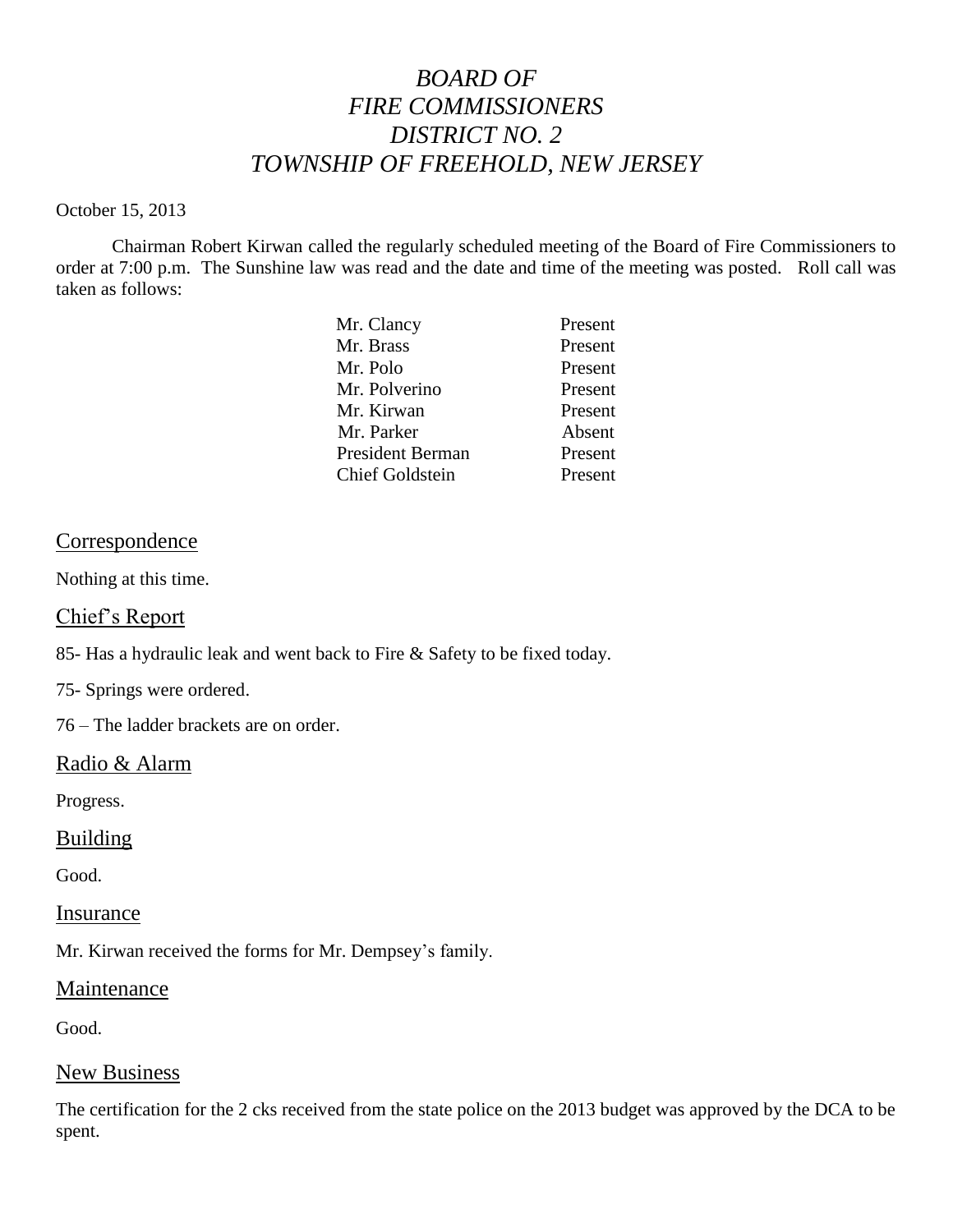# *BOARD OF FIRE COMMISSIONERS DISTRICT NO. 2 TOWNSHIP OF FREEHOLD, NEW JERSEY*

#### October 15, 2013

Chairman Robert Kirwan called the regularly scheduled meeting of the Board of Fire Commissioners to order at 7:00 p.m. The Sunshine law was read and the date and time of the meeting was posted. Roll call was taken as follows:

| Mr. Clancy              | Present |
|-------------------------|---------|
| Mr. Brass               | Present |
| Mr. Polo                | Present |
| Mr. Polverino           | Present |
| Mr. Kirwan              | Present |
| Mr. Parker              | Absent  |
| <b>President Berman</b> | Present |
| <b>Chief Goldstein</b>  | Present |

# Correspondence

Nothing at this time.

#### Chief's Report

85- Has a hydraulic leak and went back to Fire & Safety to be fixed today.

75- Springs were ordered.

76 – The ladder brackets are on order.

# Radio & Alarm

Progress.

#### Building

Good.

#### Insurance

Mr. Kirwan received the forms for Mr. Dempsey's family.

#### **Maintenance**

Good.

#### New Business

The certification for the 2 cks received from the state police on the 2013 budget was approved by the DCA to be spent.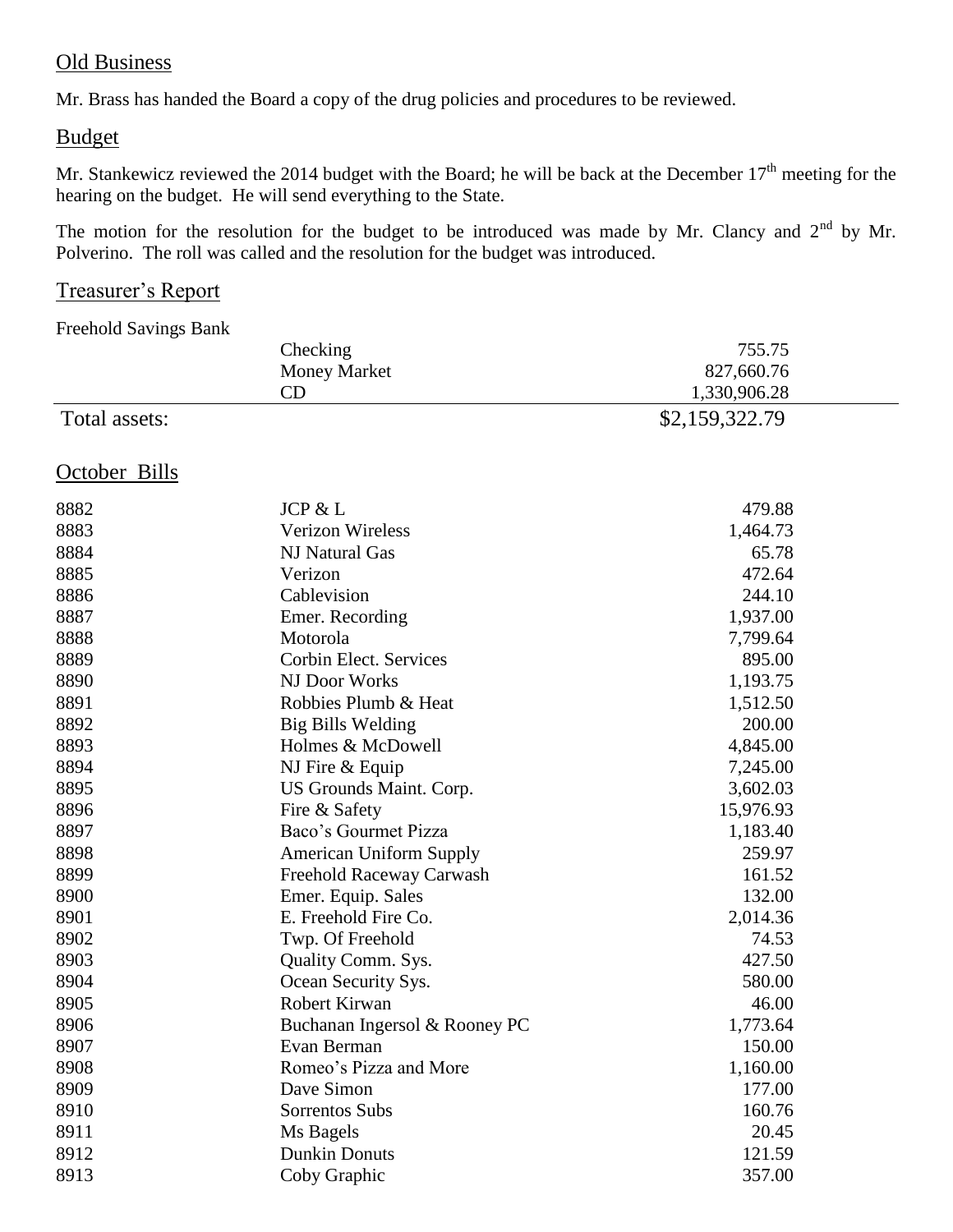# Old Business

Mr. Brass has handed the Board a copy of the drug policies and procedures to be reviewed.

# Budget

Mr. Stankewicz reviewed the 2014 budget with the Board; he will be back at the December  $17<sup>th</sup>$  meeting for the hearing on the budget. He will send everything to the State.

The motion for the resolution for the budget to be introduced was made by Mr. Clancy and  $2<sup>nd</sup>$  by Mr. Polverino. The roll was called and the resolution for the budget was introduced.

# Treasurer's Report

Freehold Savings Bank

|               | Checking                       | 755.75         |  |
|---------------|--------------------------------|----------------|--|
|               | <b>Money Market</b>            | 827,660.76     |  |
|               | CD                             | 1,330,906.28   |  |
| Total assets: |                                | \$2,159,322.79 |  |
| October Bills |                                |                |  |
| 8882          | JCP & L                        | 479.88         |  |
| 8883          | <b>Verizon Wireless</b>        | 1,464.73       |  |
| 8884          | NJ Natural Gas                 | 65.78          |  |
| 8885          | Verizon                        | 472.64         |  |
| 8886          | Cablevision                    | 244.10         |  |
| 8887          | Emer. Recording                | 1,937.00       |  |
| 8888          | Motorola                       | 7,799.64       |  |
| 8889          | Corbin Elect. Services         | 895.00         |  |
| 8890          | NJ Door Works                  | 1,193.75       |  |
| 8891          | Robbies Plumb & Heat           | 1,512.50       |  |
| 8892          | Big Bills Welding              | 200.00         |  |
| 8893          | Holmes & McDowell              | 4,845.00       |  |
| 8894          | NJ Fire & Equip                | 7,245.00       |  |
| 8895          | US Grounds Maint. Corp.        | 3,602.03       |  |
| 8896          | Fire & Safety                  | 15,976.93      |  |
| 8897          | Baco's Gourmet Pizza           | 1,183.40       |  |
| 8898          | <b>American Uniform Supply</b> | 259.97         |  |
| 8899          | Freehold Raceway Carwash       | 161.52         |  |
| 8900          | Emer. Equip. Sales             | 132.00         |  |
| 8901          | E. Freehold Fire Co.           | 2,014.36       |  |
| 8902          | Twp. Of Freehold               | 74.53          |  |
| 8903          | Quality Comm. Sys.             | 427.50         |  |
| 8904          | Ocean Security Sys.            | 580.00         |  |
| 8905          | Robert Kirwan                  | 46.00          |  |
| 8906          | Buchanan Ingersol & Rooney PC  | 1,773.64       |  |
| 8907          | Evan Berman                    | 150.00         |  |
| 8908          | Romeo's Pizza and More         | 1,160.00       |  |
| 8909          | Dave Simon                     | 177.00         |  |
| 8910          | Sorrentos Subs                 | 160.76         |  |
| 8911          | Ms Bagels                      | 20.45          |  |
| 8912          | <b>Dunkin Donuts</b>           | 121.59         |  |
| 8913          | Coby Graphic                   | 357.00         |  |